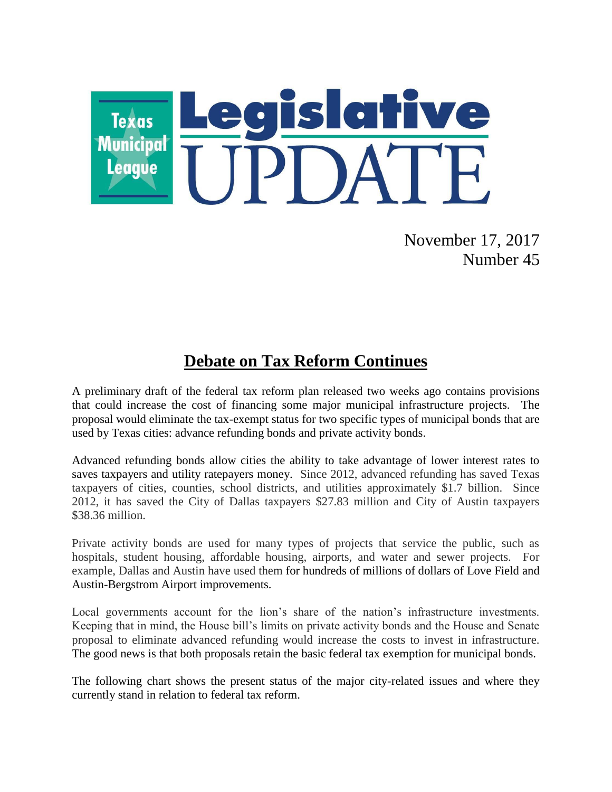

November 17, 2017 Number 45

## **Debate on Tax Reform Continues**

A preliminary draft of the federal tax reform plan released two weeks ago contains provisions that could increase the cost of financing some major municipal infrastructure projects. The proposal would eliminate the tax-exempt status for two specific types of municipal bonds that are used by Texas cities: advance refunding bonds and private activity bonds.

Advanced refunding bonds allow cities the ability to take advantage of lower interest rates to saves taxpayers and utility ratepayers money. Since 2012, advanced refunding has saved Texas taxpayers of cities, counties, school districts, and utilities approximately \$1.7 billion. Since 2012, it has saved the City of Dallas taxpayers \$27.83 million and City of Austin taxpayers \$38.36 million.

Private activity bonds are used for many types of projects that service the public, such as hospitals, student housing, affordable housing, airports, and water and sewer projects. For example, Dallas and Austin have used them for hundreds of millions of dollars of Love Field and Austin-Bergstrom Airport improvements.

Local governments account for the lion's share of the nation's infrastructure investments. Keeping that in mind, the House bill's limits on private activity bonds and the House and Senate proposal to eliminate advanced refunding would increase the costs to invest in infrastructure. The good news is that both proposals retain the basic federal tax exemption for municipal bonds.

The following chart shows the present status of the major city-related issues and where they currently stand in relation to federal tax reform.